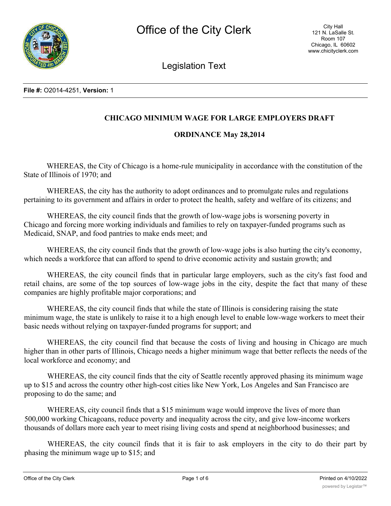

Legislation Text

# **CHICAGO MINIMUM WAGE FOR LARGE EMPLOYERS DRAFT**

## **ORDINANCE May 28,2014**

WHEREAS, the City of Chicago is a home-rule municipality in accordance with the constitution of the State of Illinois of 1970; and

WHEREAS, the city has the authority to adopt ordinances and to promulgate rules and regulations pertaining to its government and affairs in order to protect the health, safety and welfare of its citizens; and

WHEREAS, the city council finds that the growth of low-wage jobs is worsening poverty in Chicago and forcing more working individuals and families to rely on taxpayer-funded programs such as Medicaid, SNAP, and food pantries to make ends meet; and

WHEREAS, the city council finds that the growth of low-wage jobs is also hurting the city's economy, which needs a workforce that can afford to spend to drive economic activity and sustain growth; and

WHEREAS, the city council finds that in particular large employers, such as the city's fast food and retail chains, are some of the top sources of low-wage jobs in the city, despite the fact that many of these companies are highly profitable major corporations; and

WHEREAS, the city council finds that while the state of Illinois is considering raising the state minimum wage, the state is unlikely to raise it to a high enough level to enable low-wage workers to meet their basic needs without relying on taxpayer-funded programs for support; and

WHEREAS, the city council find that because the costs of living and housing in Chicago are much higher than in other parts of Illinois, Chicago needs a higher minimum wage that better reflects the needs of the local workforce and economy; and

WHEREAS, the city council finds that the city of Seattle recently approved phasing its minimum wage up to \$15 and across the country other high-cost cities like New York, Los Angeles and San Francisco are proposing to do the same; and

WHEREAS, city council finds that a \$15 minimum wage would improve the lives of more than 500,000 working Chicagoans, reduce poverty and inequality across the city, and give low-income workers thousands of dollars more each year to meet rising living costs and spend at neighborhood businesses; and

WHEREAS, the city council finds that it is fair to ask employers in the city to do their part by phasing the minimum wage up to \$15; and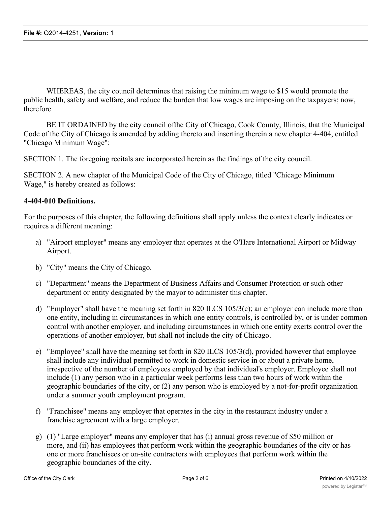WHEREAS, the city council determines that raising the minimum wage to \$15 would promote the public health, safety and welfare, and reduce the burden that low wages are imposing on the taxpayers; now, therefore

BE IT ORDAINED by the city council of the City of Chicago, Cook County, Illinois, that the Municipal Code of the City of Chicago is amended by adding thereto and inserting therein a new chapter 4-404, entitled "Chicago Minimum Wage":

SECTION 1. The foregoing recitals are incorporated herein as the findings of the city council.

SECTION 2. A new chapter of the Municipal Code of the City of Chicago, titled "Chicago Minimum Wage," is hereby created as follows:

### **4-404-010 Definitions.**

For the purposes of this chapter, the following definitions shall apply unless the context clearly indicates or requires a different meaning:

- a) "Airport employer" means any employer that operates at the O'Hare International Airport or Midway Airport.
- b) "City" means the City of Chicago.
- c) "Department" means the Department of Business Affairs and Consumer Protection or such other department or entity designated by the mayor to administer this chapter.
- d) "Employer" shall have the meaning set forth in 820 ILCS 105/3(c); an employer can include more than one entity, including in circumstances in which one entity controls, is controlled by, or is under common control with another employer, and including circumstances in which one entity exerts control over the operations of another employer, but shall not include the city of Chicago.
- e) "Employee" shall have the meaning set forth in 820 ILCS 105/3(d), provided however that employee shall include any individual permitted to work in domestic service in or about a private home, irrespective of the number of employees employed by that individual's employer. Employee shall not include (1) any person who in a particular week performs less than two hours of work within the geographic boundaries of the city, or (2) any person who is employed by a not-for-profit organization under a summer youth employment program.
- f) "Franchisee" means any employer that operates in the city in the restaurant industry under a franchise agreement with a large employer.
- g) (1) "Large employer" means any employer that has (i) annual gross revenue of \$50 million or more, and (ii) has employees that perform work within the geographic boundaries of the city or has one or more franchisees or on-site contractors with employees that perform work within the geographic boundaries of the city.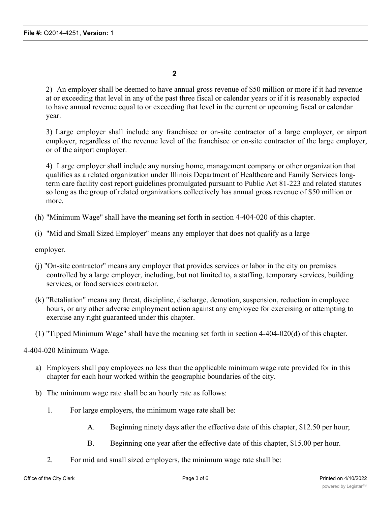**2**

2) An employer shall be deemed to have annual gross revenue of \$50 million or more if it had revenue at or exceeding that level in any of the past three fiscal or calendar years or if it is reasonably expected to have annual revenue equal to or exceeding that level in the current or upcoming fiscal or calendar year.

3) Large employer shall include any franchisee or on-site contractor of a large employer, or airport employer, regardless of the revenue level of the franchisee or on-site contractor of the large employer, or of the airport employer.

4) Large employer shall include any nursing home, management company or other organization that qualifies as a related organization under Illinois Department of Healthcare and Family Services longterm care facility cost report guidelines promulgated pursuant to Public Act 81-223 and related statutes so long as the group of related organizations collectively has annual gross revenue of \$50 million or more.

- (h) "Minimum Wage" shall have the meaning set forth in section 4-404-020 of this chapter.
- (i) "Mid and Small Sized Employer" means any employer that does not qualify as a large

employer.

- (j) "On-site contractor" means any employer that provides services or labor in the city on premises controlled by a large employer, including, but not limited to, a staffing, temporary services, building services, or food services contractor.
- (k) "Retaliation" means any threat, discipline, discharge, demotion, suspension, reduction in employee hours, or any other adverse employment action against any employee for exercising or attempting to exercise any right guaranteed under this chapter.
- (1) "Tipped Minimum Wage" shall have the meaning set forth in section 4-404-020(d) of this chapter.

4-404-020 Minimum Wage.

- a) Employers shall pay employees no less than the applicable minimum wage rate provided for in this chapter for each hour worked within the geographic boundaries of the city.
- b) The minimum wage rate shall be an hourly rate as follows:
	- 1. For large employers, the minimum wage rate shall be:
		- A. Beginning ninety days after the effective date of this chapter, \$12.50 per hour;
		- B. Beginning one year after the effective date of this chapter, \$15.00 per hour.
	- 2. For mid and small sized employers, the minimum wage rate shall be: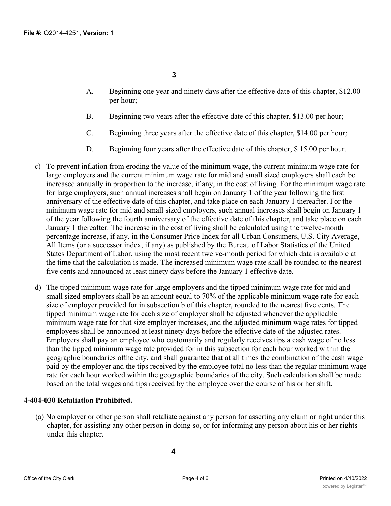**3**

- A. Beginning one year and ninety days after the effective date of this chapter, \$12.00 per hour;
- B. Beginning two years after the effective date of this chapter, \$13.00 per hour;
- C. Beginning three years after the effective date of this chapter, \$14.00 per hour;
- D. Beginning four years after the effective date of this chapter, \$ 15.00 per hour.
- c) To prevent inflation from eroding the value of the minimum wage, the current minimum wage rate for large employers and the current minimum wage rate for mid and small sized employers shall each be increased annually in proportion to the increase, if any, in the cost of living. For the minimum wage rate for large employers, such annual increases shall begin on January 1 of the year following the first anniversary of the effective date of this chapter, and take place on each January 1 thereafter. For the minimum wage rate for mid and small sized employers, such annual increases shall begin on January 1 of the year following the fourth anniversary of the effective date of this chapter, and take place on each January 1 thereafter. The increase in the cost of living shall be calculated using the twelve-month percentage increase, if any, in the Consumer Price Index for all Urban Consumers, U.S. City Average, All Items (or a successor index, if any) as published by the Bureau of Labor Statistics of the United States Department of Labor, using the most recent twelve-month period for which data is available at the time that the calculation is made. The increased minimum wage rate shall be rounded to the nearest five cents and announced at least ninety days before the January 1 effective date.
- d) The tipped minimum wage rate for large employers and the tipped minimum wage rate for mid and small sized employers shall be an amount equal to 70% of the applicable minimum wage rate for each size of employer provided for in subsection b of this chapter, rounded to the nearest five cents. The tipped minimum wage rate for each size of employer shall be adjusted whenever the applicable minimum wage rate for that size employer increases, and the adjusted minimum wage rates for tipped employees shall be announced at least ninety days before the effective date of the adjusted rates. Employers shall pay an employee who customarily and regularly receives tips a cash wage of no less than the tipped minimum wage rate provided for in this subsection for each hour worked within the geographic boundaries ofthe city, and shall guarantee that at all times the combination of the cash wage paid by the employer and the tips received by the employee total no less than the regular minimum wage rate for each hour worked within the geographic boundaries of the city. Such calculation shall be made based on the total wages and tips received by the employee over the course of his or her shift.

## **4-404-030 Retaliation Prohibited.**

(a) No employer or other person shall retaliate against any person for asserting any claim or right under this chapter, for assisting any other person in doing so, or for informing any person about his or her rights under this chapter.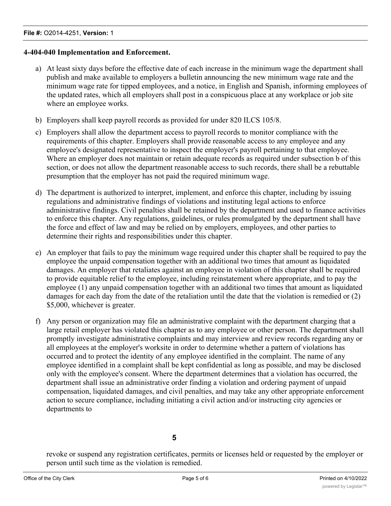### **4-404-040 Implementation and Enforcement.**

- a) At least sixty days before the effective date of each increase in the minimum wage the department shall publish and make available to employers a bulletin announcing the new minimum wage rate and the minimum wage rate for tipped employees, and a notice, in English and Spanish, informing employees of the updated rates, which all employers shall post in a conspicuous place at any workplace or job site where an employee works.
- b) Employers shall keep payroll records as provided for under 820 ILCS 105/8.
- c) Employers shall allow the department access to payroll records to monitor compliance with the requirements of this chapter. Employers shall provide reasonable access to any employee and any employee's designated representative to inspect the employer's payroll pertaining to that employee. Where an employer does not maintain or retain adequate records as required under subsection b of this section, or does not allow the department reasonable access to such records, there shall be a rebuttable presumption that the employer has not paid the required minimum wage.
- d) The department is authorized to interpret, implement, and enforce this chapter, including by issuing regulations and administrative findings of violations and instituting legal actions to enforce administrative findings. Civil penalties shall be retained by the department and used to finance activities to enforce this chapter. Any regulations, guidelines, or rules promulgated by the department shall have the force and effect of law and may be relied on by employers, employees, and other parties to determine their rights and responsibilities under this chapter.
- e) An employer that fails to pay the minimum wage required under this chapter shall be required to pay the employee the unpaid compensation together with an additional two times that amount as liquidated damages. An employer that retaliates against an employee in violation of this chapter shall be required to provide equitable relief to the employee, including reinstatement where appropriate, and to pay the employee (1) any unpaid compensation together with an additional two times that amount as liquidated damages for each day from the date of the retaliation until the date that the violation is remedied or (2) \$5,000, whichever is greater.
- f) Any person or organization may file an administrative complaint with the department charging that a large retail employer has violated this chapter as to any employee or other person. The department shall promptly investigate administrative complaints and may interview and review records regarding any or all employees at the employer's worksite in order to determine whether a pattern of violations has occurred and to protect the identity of any employee identified in the complaint. The name of any employee identified in a complaint shall be kept confidential as long as possible, and may be disclosed only with the employee's consent. Where the department determines that a violation has occurred, the department shall issue an administrative order finding a violation and ordering payment of unpaid compensation, liquidated damages, and civil penalties, and may take any other appropriate enforcement action to secure compliance, including initiating a civil action and/or instructing city agencies or departments to

revoke or suspend any registration certificates, permits or licenses held or requested by the employer or person until such time as the violation is remedied.